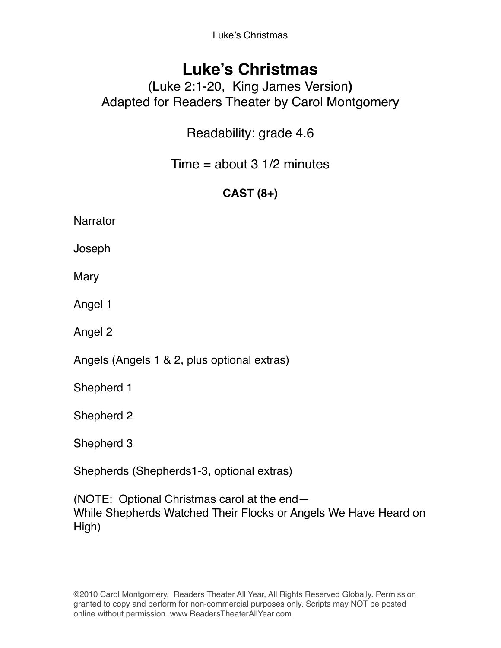Luke's Christmas

# **Luke's Christmas**

## (Luke 2:1-20, King James Version**)** Adapted for Readers Theater by Carol Montgomery

Readability: grade 4.6

Time  $=$  about 3 1/2 minutes

## **CAST (8+)**

**Narrator** 

Joseph

**Mary** 

Angel 1

Angel 2

Angels (Angels 1 & 2, plus optional extras)

Shepherd 1

Shepherd 2

Shepherd 3

Shepherds (Shepherds1-3, optional extras)

(NOTE: Optional Christmas carol at the end— While Shepherds Watched Their Flocks or Angels We Have Heard on High)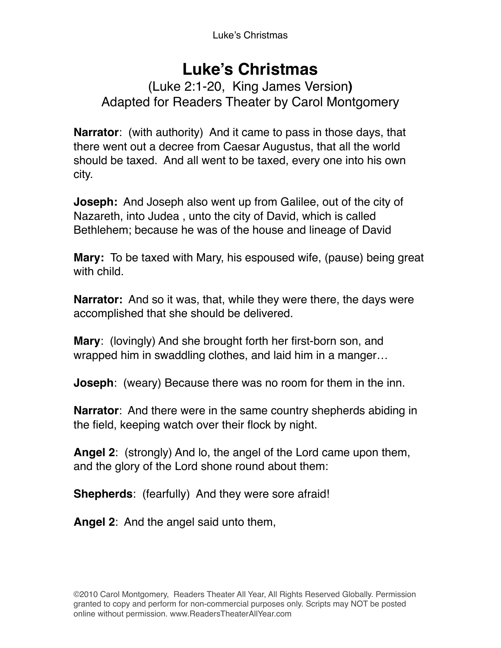# **Luke's Christmas**

### (Luke 2:1-20, King James Version**)** Adapted for Readers Theater by Carol Montgomery

**Narrator**: (with authority) And it came to pass in those days, that there went out a decree from Caesar Augustus, that all the world should be taxed. And all went to be taxed, every one into his own city.

**Joseph:** And Joseph also went up from Galilee, out of the city of Nazareth, into Judea , unto the city of David, which is called Bethlehem; because he was of the house and lineage of David

**Mary:** To be taxed with Mary, his espoused wife, (pause) being great with child.

**Narrator:** And so it was, that, while they were there, the days were accomplished that she should be delivered.

**Mary**: (lovingly) And she brought forth her first-born son, and wrapped him in swaddling clothes, and laid him in a manger…

**Joseph**: (weary) Because there was no room for them in the inn.

**Narrator**: And there were in the same country shepherds abiding in the field, keeping watch over their flock by night.

**Angel 2**: (strongly) And lo, the angel of the Lord came upon them, and the glory of the Lord shone round about them:

**Shepherds**: (fearfully) And they were sore afraid!

**Angel 2**: And the angel said unto them,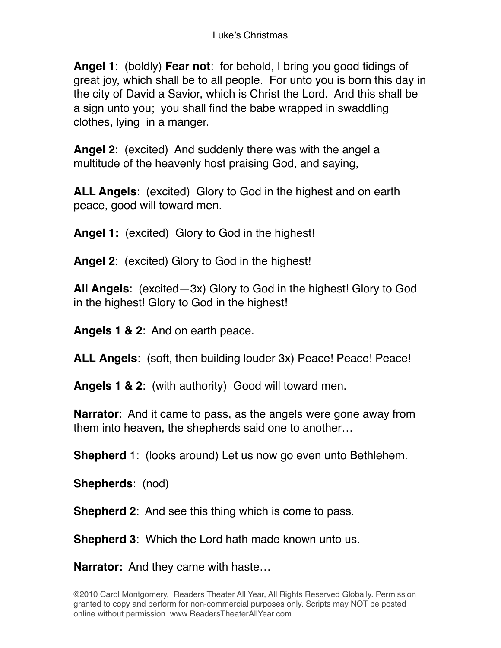**Angel 1**: (boldly) **Fear not**: for behold, I bring you good tidings of great joy, which shall be to all people. For unto you is born this day in the city of David a Savior, which is Christ the Lord. And this shall be a sign unto you; you shall find the babe wrapped in swaddling clothes, lying in a manger.

**Angel 2**: (excited) And suddenly there was with the angel a multitude of the heavenly host praising God, and saying,

**ALL Angels**: (excited) Glory to God in the highest and on earth peace, good will toward men.

**Angel 1:** (excited) Glory to God in the highest!

**Angel 2**: (excited) Glory to God in the highest!

**All Angels**: (excited—3x) Glory to God in the highest! Glory to God in the highest! Glory to God in the highest!

**Angels 1 & 2**: And on earth peace.

**ALL Angels**: (soft, then building louder 3x) Peace! Peace! Peace!

**Angels 1 & 2**: (with authority) Good will toward men.

**Narrator**: And it came to pass, as the angels were gone away from them into heaven, the shepherds said one to another…

**Shepherd** 1: (looks around) Let us now go even unto Bethlehem.

**Shepherds**: (nod)

**Shepherd 2**: And see this thing which is come to pass.

**Shepherd 3**: Which the Lord hath made known unto us.

**Narrator:** And they came with haste…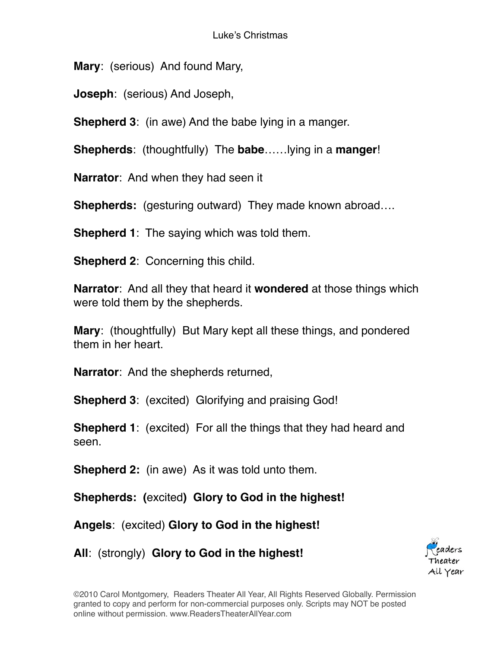**Mary**: (serious) And found Mary,

**Joseph**: (serious) And Joseph,

**Shepherd 3**: (in awe) And the babe lying in a manger.

**Shepherds**: (thoughtfully) The **babe**……lying in a **manger**!

**Narrator**: And when they had seen it

**Shepherds:** (gesturing outward) They made known abroad….

**Shepherd 1**: The saying which was told them.

**Shepherd 2**: Concerning this child.

**Narrator**: And all they that heard it **wondered** at those things which were told them by the shepherds.

**Mary**: (thoughtfully) But Mary kept all these things, and pondered them in her heart.

**Narrator**: And the shepherds returned,

**Shepherd 3**: (excited) Glorifying and praising God!

**Shepherd 1**: (excited) For all the things that they had heard and seen.

**Shepherd 2:** (in awe) As it was told unto them.

**Shepherds: (**excited**) Glory to God in the highest!**

**Angels**: (excited) **Glory to God in the highest!**

**All**: (strongly) **Glory to God in the highest!**